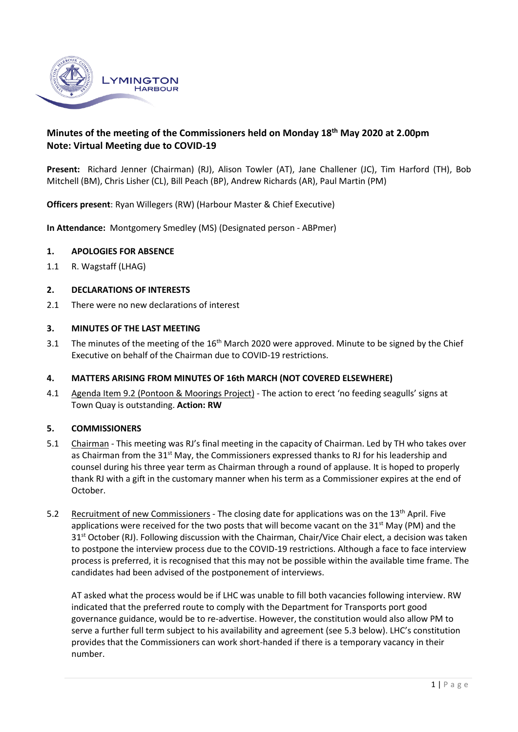

# **Minutes of the meeting of the Commissioners held on Monday 18 th May 2020 at 2.00pm Note: Virtual Meeting due to COVID-19**

**Present:** Richard Jenner (Chairman) (RJ), Alison Towler (AT), Jane Challener (JC), Tim Harford (TH), Bob Mitchell (BM), Chris Lisher (CL), Bill Peach (BP), Andrew Richards (AR), Paul Martin (PM)

**Officers present**: Ryan Willegers (RW) (Harbour Master & Chief Executive)

**In Attendance:** Montgomery Smedley (MS) (Designated person - ABPmer)

#### **1. APOLOGIES FOR ABSENCE**

1.1 R. Wagstaff (LHAG)

#### **2. DECLARATIONS OF INTERESTS**

2.1 There were no new declarations of interest

#### **3. MINUTES OF THE LAST MEETING**

3.1 The minutes of the meeting of the  $16<sup>th</sup>$  March 2020 were approved. Minute to be signed by the Chief Executive on behalf of the Chairman due to COVID-19 restrictions.

### **4. MATTERS ARISING FROM MINUTES OF 16th MARCH (NOT COVERED ELSEWHERE)**

4.1 Agenda Item 9.2 (Pontoon & Moorings Project) - The action to erect 'no feeding seagulls' signs at Town Quay is outstanding. **Action: RW**

### **5. COMMISSIONERS**

- 5.1 Chairman This meeting was RJ's final meeting in the capacity of Chairman. Led by TH who takes over as Chairman from the 31<sup>st</sup> May, the Commissioners expressed thanks to RJ for his leadership and counsel during his three year term as Chairman through a round of applause. It is hoped to properly thank RJ with a gift in the customary manner when his term as a Commissioner expires at the end of October.
- 5.2 Recruitment of new Commissioners The closing date for applications was on the 13<sup>th</sup> April. Five applications were received for the two posts that will become vacant on the 31<sup>st</sup> May (PM) and the 31<sup>st</sup> October (RJ). Following discussion with the Chairman, Chair/Vice Chair elect, a decision was taken to postpone the interview process due to the COVID-19 restrictions. Although a face to face interview process is preferred, it is recognised that this may not be possible within the available time frame. The candidates had been advised of the postponement of interviews.

AT asked what the process would be if LHC was unable to fill both vacancies following interview. RW indicated that the preferred route to comply with the Department for Transports port good governance guidance, would be to re-advertise. However, the constitution would also allow PM to serve a further full term subject to his availability and agreement (see 5.3 below). LHC's constitution provides that the Commissioners can work short-handed if there is a temporary vacancy in their number.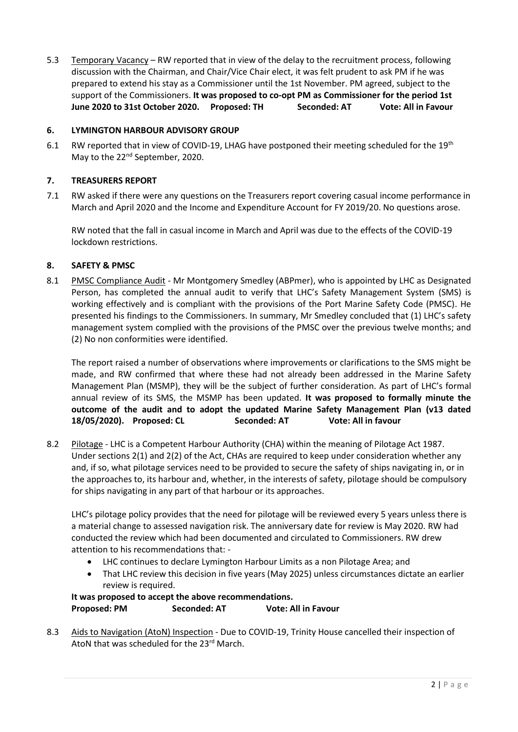5.3 Temporary Vacancy – RW reported that in view of the delay to the recruitment process, following discussion with the Chairman, and Chair/Vice Chair elect, it was felt prudent to ask PM if he was prepared to extend his stay as a Commissioner until the 1st November. PM agreed, subject to the support of the Commissioners. **It was proposed to co-opt PM as Commissioner for the period 1st June 2020 to 31st October 2020. Proposed: TH Seconded: AT Vote: All in Favour**

### **6. LYMINGTON HARBOUR ADVISORY GROUP**

6.1 RW reported that in view of COVID-19, LHAG have postponed their meeting scheduled for the 19<sup>th</sup> May to the 22<sup>nd</sup> September, 2020.

### **7. TREASURERS REPORT**

7.1 RW asked if there were any questions on the Treasurers report covering casual income performance in March and April 2020 and the Income and Expenditure Account for FY 2019/20. No questions arose.

RW noted that the fall in casual income in March and April was due to the effects of the COVID-19 lockdown restrictions.

### **8. SAFETY & PMSC**

8.1 PMSC Compliance Audit - Mr Montgomery Smedley (ABPmer), who is appointed by LHC as Designated Person, has completed the annual audit to verify that LHC's Safety Management System (SMS) is working effectively and is compliant with the provisions of the Port Marine Safety Code (PMSC). He presented his findings to the Commissioners. In summary, Mr Smedley concluded that (1) LHC's safety management system complied with the provisions of the PMSC over the previous twelve months; and (2) No non conformities were identified.

The report raised a number of observations where improvements or clarifications to the SMS might be made, and RW confirmed that where these had not already been addressed in the Marine Safety Management Plan (MSMP), they will be the subject of further consideration. As part of LHC's formal annual review of its SMS, the MSMP has been updated. **It was proposed to formally minute the outcome of the audit and to adopt the updated Marine Safety Management Plan (v13 dated 18/05/2020). Proposed: CL Seconded: AT Vote: All in favour**

8.2 Pilotage - LHC is a Competent Harbour Authority (CHA) within the meaning of Pilotage Act 1987. Under sections 2(1) and 2(2) of the Act, CHAs are required to keep under consideration whether any and, if so, what pilotage services need to be provided to secure the safety of ships navigating in, or in the approaches to, its harbour and, whether, in the interests of safety, pilotage should be compulsory for ships navigating in any part of that harbour or its approaches.

LHC's pilotage policy provides that the need for pilotage will be reviewed every 5 years unless there is a material change to assessed navigation risk. The anniversary date for review is May 2020. RW had conducted the review which had been documented and circulated to Commissioners. RW drew attention to his recommendations that: -

- LHC continues to declare Lymington Harbour Limits as a non Pilotage Area; and
- That LHC review this decision in five years (May 2025) unless circumstances dictate an earlier review is required.

# **It was proposed to accept the above recommendations. Proposed: PM Seconded: AT Vote: All in Favour**

8.3 Aids to Navigation (AtoN) Inspection - Due to COVID-19, Trinity House cancelled their inspection of AtoN that was scheduled for the 23rd March.